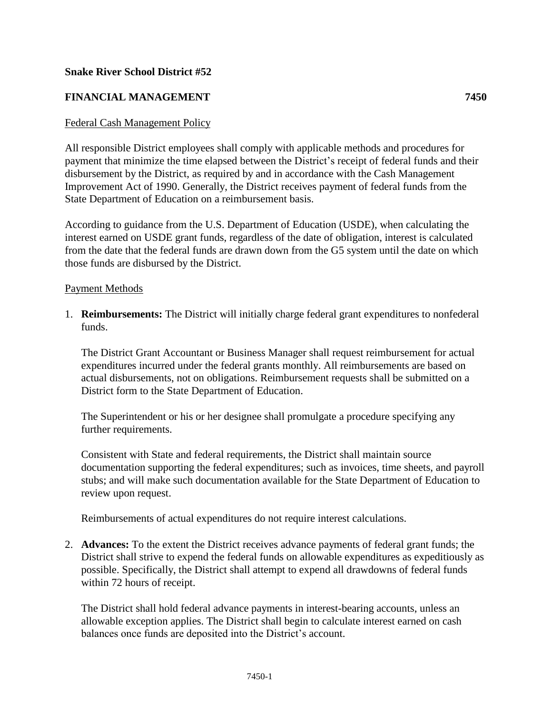## **Snake River School District #52**

## **FINANCIAL MANAGEMENT 7450**

## Federal Cash Management Policy

All responsible District employees shall comply with applicable methods and procedures for payment that minimize the time elapsed between the District's receipt of federal funds and their disbursement by the District, as required by and in accordance with the Cash Management Improvement Act of 1990. Generally, the District receives payment of federal funds from the State Department of Education on a reimbursement basis.

According to guidance from the U.S. Department of Education (USDE), when calculating the interest earned on USDE grant funds, regardless of the date of obligation, interest is calculated from the date that the federal funds are drawn down from the G5 system until the date on which those funds are disbursed by the District.

## Payment Methods

1. **Reimbursements:** The District will initially charge federal grant expenditures to nonfederal funds.

The District Grant Accountant or Business Manager shall request reimbursement for actual expenditures incurred under the federal grants monthly. All reimbursements are based on actual disbursements, not on obligations. Reimbursement requests shall be submitted on a District form to the State Department of Education.

The Superintendent or his or her designee shall promulgate a procedure specifying any further requirements.

Consistent with State and federal requirements, the District shall maintain source documentation supporting the federal expenditures; such as invoices, time sheets, and payroll stubs; and will make such documentation available for the State Department of Education to review upon request.

Reimbursements of actual expenditures do not require interest calculations.

2. **Advances:** To the extent the District receives advance payments of federal grant funds; the District shall strive to expend the federal funds on allowable expenditures as expeditiously as possible. Specifically, the District shall attempt to expend all drawdowns of federal funds within 72 hours of receipt.

The District shall hold federal advance payments in interest-bearing accounts, unless an allowable exception applies. The District shall begin to calculate interest earned on cash balances once funds are deposited into the District's account.